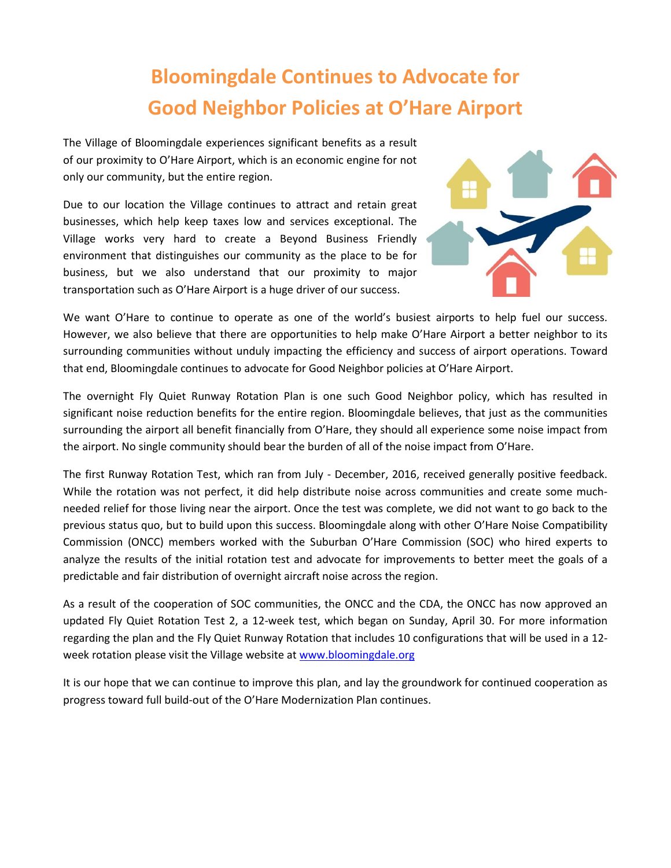## **Bloomingdale Continues to Advocate for Good Neighbor Policies at O'Hare Airport**

The Village of Bloomingdale experiences significant benefits as a result of our proximity to O'Hare Airport, which is an economic engine for not only our community, but the entire region.

Due to our location the Village continues to attract and retain great businesses, which help keep taxes low and services exceptional. The Village works very hard to create a Beyond Business Friendly environment that distinguishes our community as the place to be for business, but we also understand that our proximity to major transportation such as O'Hare Airport is a huge driver of our success.



We want O'Hare to continue to operate as one of the world's busiest airports to help fuel our success. However, we also believe that there are opportunities to help make O'Hare Airport a better neighbor to its surrounding communities without unduly impacting the efficiency and success of airport operations. Toward that end, Bloomingdale continues to advocate for Good Neighbor policies at O'Hare Airport.

The overnight Fly Quiet Runway Rotation Plan is one such Good Neighbor policy, which has resulted in significant noise reduction benefits for the entire region. Bloomingdale believes, that just as the communities surrounding the airport all benefit financially from O'Hare, they should all experience some noise impact from the airport. No single community should bear the burden of all of the noise impact from O'Hare.

The first Runway Rotation Test, which ran from July - December, 2016, received generally positive feedback. While the rotation was not perfect, it did help distribute noise across communities and create some muchneeded relief for those living near the airport. Once the test was complete, we did not want to go back to the previous status quo, but to build upon this success. Bloomingdale along with other O'Hare Noise Compatibility Commission (ONCC) members worked with the Suburban O'Hare Commission (SOC) who hired experts to analyze the results of the initial rotation test and advocate for improvements to better meet the goals of a predictable and fair distribution of overnight aircraft noise across the region.

As a result of the cooperation of SOC communities, the ONCC and the CDA, the ONCC has now approved an updated Fly Quiet Rotation Test 2, a 12-week test, which began on Sunday, April 30. For more information regarding the plan and the Fly Quiet Runway Rotation that includes 10 configurations that will be used in a 12 week rotation please visit the Village website at [www.bloomingdale.org](http://www.bloomingdale.org/)

It is our hope that we can continue to improve this plan, and lay the groundwork for continued cooperation as progress toward full build-out of the O'Hare Modernization Plan continues.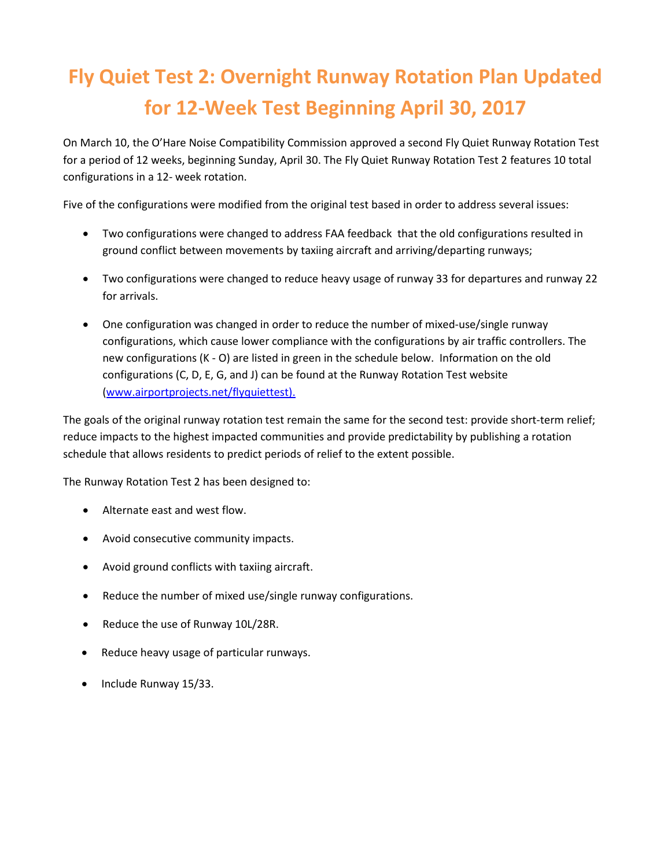# **Fly Quiet Test 2: Overnight Runway Rotation Plan Updated for 12-Week Test Beginning April 30, 2017**

On March 10, the O'Hare Noise Compatibility Commission approved a second Fly Quiet Runway Rotation Test for a period of 12 weeks, beginning Sunday, April 30. The Fly Quiet Runway Rotation Test 2 features 10 total configurations in a 12- week rotation.

Five of the configurations were modified from the original test based in order to address several issues:

- Two configurations were changed to address FAA feedback that the old configurations resulted in ground conflict between movements by taxiing aircraft and arriving/departing runways;
- Two configurations were changed to reduce heavy usage of runway 33 for departures and runway 22 for arrivals.
- One configuration was changed in order to reduce the number of mixed-use/single runway configurations, which cause lower compliance with the configurations by air traffic controllers. The new configurations (K - O) are listed in green in the schedule below. Information on the old configurations (C, D, E, G, and J) can be found at the Runway Rotation Test website [\(www.airportprojects.net/flyquiettest\).](http://www.airportprojects.net/flyquiettest))

The goals of the original runway rotation test remain the same for the second test: provide short-term relief; reduce impacts to the highest impacted communities and provide predictability by publishing a rotation schedule that allows residents to predict periods of relief to the extent possible.

The Runway Rotation Test 2 has been designed to:

- Alternate east and west flow.
- Avoid consecutive community impacts.
- Avoid ground conflicts with taxiing aircraft.
- Reduce the number of mixed use/single runway configurations.
- Reduce the use of Runway 10L/28R.
- Reduce heavy usage of particular runways.
- Include Runway 15/33.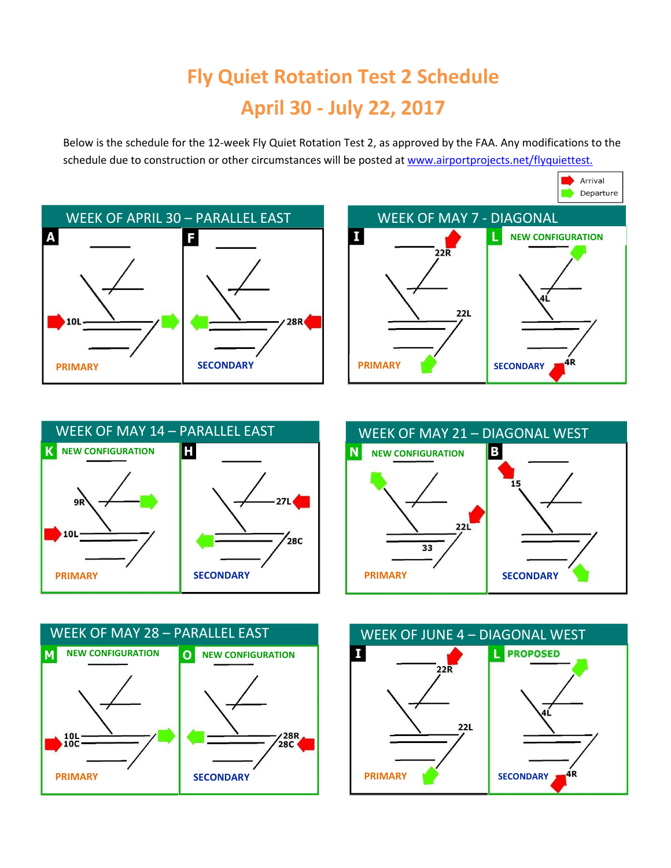# **Fly Quiet Rotation Test 2 Schedule April 30 - July 22, 2017**

Below is the schedule for the 12-week Fly Quiet Rotation Test 2, as approved by the FAA. Any modifications to the schedule due to construction or other circumstances will be posted at [www.airportprojects.net/flyquiettest.](http://www.airportprojects.net/flyquiettest.)









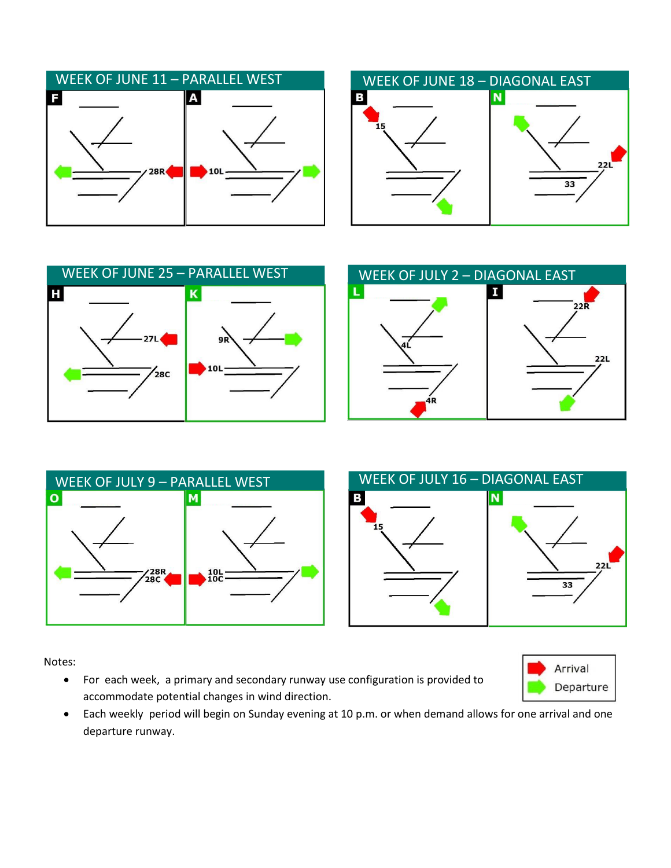







Notes:

 For each week, a primary and secondary runway use configuration is provided to accommodate potential changes in wind direction.



 $22L$ 

 Each weekly period will begin on Sunday evening at 10 p.m. or when demand allows for one arrival and one departure runway.